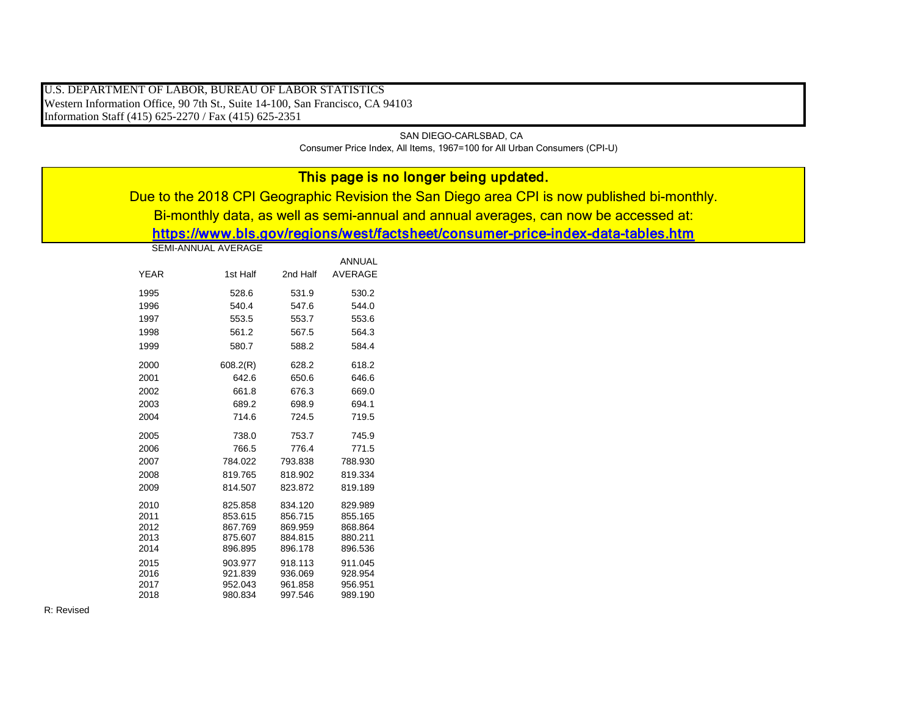U.S. DEPARTMENT OF LABOR, BUREAU OF LABOR STATISTICS Western Information Office, 90 7th St., Suite 14-100, San Francisco, CA 94103 Information Staff (415) 625-2270 / Fax (415) 625-2351

> SAN DIEGO-CARLSBAD, CA Consumer Price Index, All Items, 1967=100 for All Urban Consumers (CPI-U)

| This page is no longer being updated.                                                       |          |          |         |  |  |  |  |  |  |
|---------------------------------------------------------------------------------------------|----------|----------|---------|--|--|--|--|--|--|
| Due to the 2018 CPI Geographic Revision the San Diego area CPI is now published bi-monthly. |          |          |         |  |  |  |  |  |  |
| Bi-monthly data, as well as semi-annual and annual averages, can now be accessed at:        |          |          |         |  |  |  |  |  |  |
| https://www.bls.gov/regions/west/factsheet/consumer-price-index-data-tables.htm             |          |          |         |  |  |  |  |  |  |
| <b>SEMI-ANNUAL AVERAGE</b>                                                                  |          |          |         |  |  |  |  |  |  |
| <b>ANNUAL</b>                                                                               |          |          |         |  |  |  |  |  |  |
|                                                                                             |          |          |         |  |  |  |  |  |  |
| <b>YEAR</b>                                                                                 | 1st Half | 2nd Half | AVERAGE |  |  |  |  |  |  |
| 1995                                                                                        | 528.6    | 531.9    | 530.2   |  |  |  |  |  |  |
| 1996                                                                                        | 540.4    | 547.6    | 544.0   |  |  |  |  |  |  |
| 1997                                                                                        | 553.5    | 553.7    | 553.6   |  |  |  |  |  |  |
| 1998                                                                                        | 561.2    | 567.5    | 564.3   |  |  |  |  |  |  |
| 1999                                                                                        | 580.7    | 588.2    | 584.4   |  |  |  |  |  |  |
| 2000                                                                                        | 608.2(R) | 628.2    | 618.2   |  |  |  |  |  |  |
| 2001                                                                                        | 642.6    | 650.6    | 646.6   |  |  |  |  |  |  |
| 2002                                                                                        | 661.8    | 676.3    | 669.0   |  |  |  |  |  |  |
| 2003                                                                                        | 689.2    | 698.9    | 694.1   |  |  |  |  |  |  |
| 2004                                                                                        | 714.6    | 724.5    | 719.5   |  |  |  |  |  |  |
| 2005                                                                                        | 738.0    | 753.7    | 745.9   |  |  |  |  |  |  |
| 2006                                                                                        | 766.5    | 776.4    | 771.5   |  |  |  |  |  |  |
| 2007                                                                                        | 784.022  | 793.838  | 788.930 |  |  |  |  |  |  |
| 2008                                                                                        | 819.765  | 818.902  | 819.334 |  |  |  |  |  |  |
| 2009                                                                                        | 814.507  | 823.872  | 819.189 |  |  |  |  |  |  |
| 2010                                                                                        | 825.858  | 834.120  | 829.989 |  |  |  |  |  |  |
| 2011                                                                                        | 853.615  | 856.715  | 855.165 |  |  |  |  |  |  |
| 2012                                                                                        | 867.769  | 869.959  | 868.864 |  |  |  |  |  |  |
| 2013                                                                                        | 875.607  | 884.815  | 880.211 |  |  |  |  |  |  |
| 2014                                                                                        | 896.895  | 896.178  | 896.536 |  |  |  |  |  |  |
| 2015                                                                                        | 903.977  | 918.113  | 911.045 |  |  |  |  |  |  |
| 2016                                                                                        | 921.839  | 936.069  | 928.954 |  |  |  |  |  |  |
| 2017                                                                                        | 952.043  | 961.858  | 956.951 |  |  |  |  |  |  |
| 2018                                                                                        | 980.834  | 997.546  | 989.190 |  |  |  |  |  |  |

R: Revised